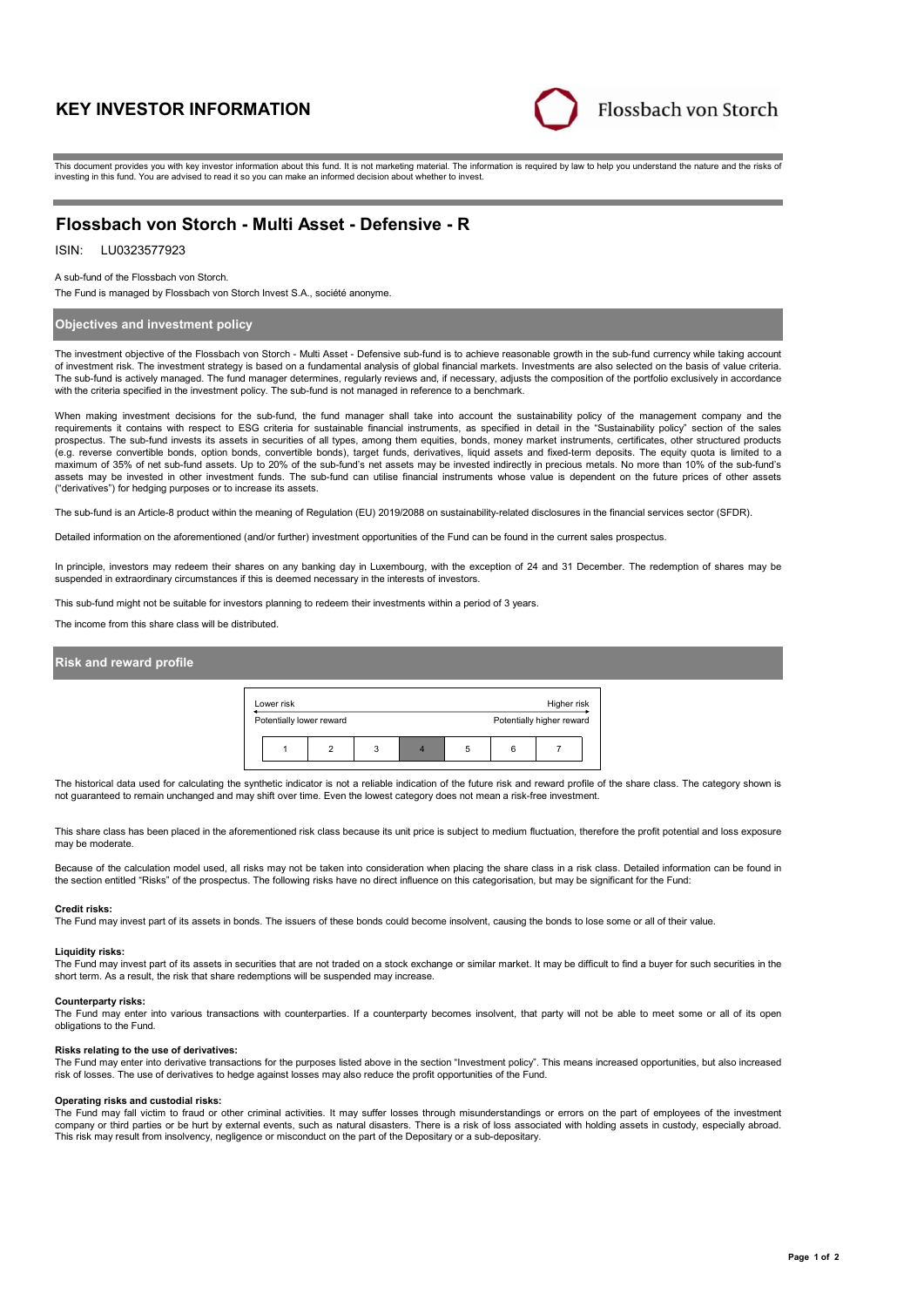# **KEY INVESTOR INFORMATION**



This document provides you with key investor information about this fund. It is not marketing material. The information is required by law to help you understand the nature and the risks of investing in this fund. You are advised to read it so you can make an informed decision about whether to invest.

# **Flossbach von Storch - Multi Asset - Defensive - R**

#### LU0323577923 ISIN:

A sub-fund of the Flossbach von Storch.

The Fund is managed by Flossbach von Storch Invest S.A., société anonyme.

### **Objectives and investment policy**

The investment objective of the Flossbach von Storch - Multi Asset - Defensive sub-fund is to achieve reasonable growth in the sub-fund currency while taking account of investment risk. The investment strategy is based on a fundamental analysis of global financial markets. Investments are also selected on the basis of value criteria. The sub-fund is actively managed. The fund manager determines, regularly reviews and, if necessary, adjusts the composition of the portfolio exclusively in accordance with the criteria specified in the investment policy. The sub-fund is not managed in reference to a benchmark.

When making investment decisions for the sub-fund, the fund manager shall take into account the sustainability policy of the management company and the<br>requirements it contains with respect to ESG criteria for sustainable prospectus. The sub-fund invests its assets in securities of all types, among them equities, bonds, money market instruments, certificates, other structured products (e.g. reverse convertible bonds, option bonds, convertible bonds), target funds, derivatives, liquid assets and fixed-term deposits. The equity quota is limited to a maximum of 35% of net sub-fund assets. Up to 20% of the sub-fund's net assets may be invested indirectly in precious metals. No more than 10% of the sub-fund's assets may be invested in other investment funds. The sub-fund can utilise financial instruments whose value is dependent on the future prices of other assets ("derivatives") for hedging purposes or to increase its assets.

The sub-fund is an Article-8 product within the meaning of Regulation (EU) 2019/2088 on sustainability-related disclosures in the financial services sector (SFDR).

Detailed information on the aforementioned (and/or further) investment opportunities of the Fund can be found in the current sales prospectus.

In principle, investors may redeem their shares on any banking day in Luxembourg, with the exception of 24 and 31 December. The redemption of shares may be suspended in extraordinary circumstances if this is deemed necessary in the interests of investors.

This sub-fund might not be suitable for investors planning to redeem their investments within a period of 3 years.

The income from this share class will be distributed.

### **Risk and reward profile**



The historical data used for calculating the synthetic indicator is not a reliable indication of the future risk and reward profile of the share class. The category shown is not guaranteed to remain unchanged and may shift over time. Even the lowest category does not mean a risk-free investment.

This share class has been placed in the aforementioned risk class because its unit price is subject to medium fluctuation, therefore the profit potential and loss exposure may be moderate.

Because of the calculation model used, all risks may not be taken into consideration when placing the share class in a risk class. Detailed information can be found in the section entitled "Risks" of the prospectus. The following risks have no direct influence on this categorisation, but may be significant for the Fund:

#### **Credit risks:**

The Fund may invest part of its assets in bonds. The issuers of these bonds could become insolvent, causing the bonds to lose some or all of their value.

#### **Liquidity risks:**

The Fund may invest part of its assets in securities that are not traded on a stock exchange or similar market. It may be difficult to find a buver for such securities in the short term. As a result, the risk that share redemptions will be suspended may increase.

#### **Counterparty risks:**

The Fund may enter into various transactions with counterparties. If a counterparty becomes insolvent, that party will not be able to meet some or all of its open obligations to the Fund.

#### **Risks relating to the use of derivatives:**

The Fund may enter into derivative transactions for the purposes listed above in the section "Investment policy". This means increased opportunities, but also increased risk of losses. The use of derivatives to hedge against losses may also reduce the profit opportunities of the Fund.

#### **Operating risks and custodial risks:**

The Fund may fall victim to fraud or other criminal activities. It may suffer losses through misunderstandings or errors on the part of employees of the investment company or third parties or be hurt by external events, such as natural disasters. There is a risk of loss associated with holding assets in custody, especially abroad. This risk may result from insolvency, negligence or misconduct on the part of the Depositary or a sub-depositary.